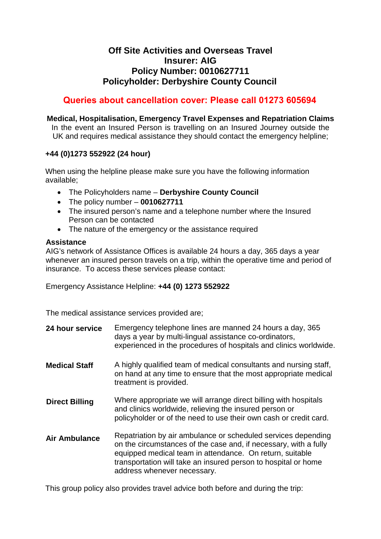# **Off Site Activities and Overseas Travel Insurer: AIG Policy Number: 0010627711 Policyholder: Derbyshire County Council**

# **Queries about cancellation cover: Please call 01273 605694**

## **Medical, Hospitalisation, Emergency Travel Expenses and Repatriation Claims**

In the event an Insured Person is travelling on an Insured Journey outside the UK and requires medical assistance they should contact the emergency helpline;

## **+44 (0)1273 552922 (24 hour)**

When using the helpline please make sure you have the following information available;

- The Policyholders name **Derbyshire County Council**
- The policy number **0010627711**
- The insured person's name and a telephone number where the Insured Person can be contacted
- The nature of the emergency or the assistance required

### **Assistance**

AIG's network of Assistance Offices is available 24 hours a day, 365 days a year whenever an insured person travels on a trip, within the operative time and period of insurance. To access these services please contact:

Emergency Assistance Helpline: **+44 (0) 1273 552922**

The medical assistance services provided are;

| 24 hour service       | Emergency telephone lines are manned 24 hours a day, 365<br>days a year by multi-lingual assistance co-ordinators,<br>experienced in the procedures of hospitals and clinics worldwide.                                                                                                        |
|-----------------------|------------------------------------------------------------------------------------------------------------------------------------------------------------------------------------------------------------------------------------------------------------------------------------------------|
| <b>Medical Staff</b>  | A highly qualified team of medical consultants and nursing staff,<br>on hand at any time to ensure that the most appropriate medical<br>treatment is provided.                                                                                                                                 |
| <b>Direct Billing</b> | Where appropriate we will arrange direct billing with hospitals<br>and clinics worldwide, relieving the insured person or<br>policyholder or of the need to use their own cash or credit card.                                                                                                 |
| <b>Air Ambulance</b>  | Repatriation by air ambulance or scheduled services depending<br>on the circumstances of the case and, if necessary, with a fully<br>equipped medical team in attendance. On return, suitable<br>transportation will take an insured person to hospital or home<br>address whenever necessary. |

This group policy also provides travel advice both before and during the trip: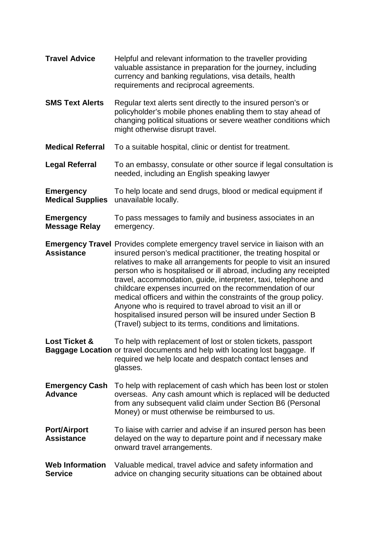**Travel Advice** Helpful and relevant information to the traveller providing valuable assistance in preparation for the journey, including currency and banking regulations, visa details, health requirements and reciprocal agreements. **SMS Text Alerts** Regular text alerts sent directly to the insured person's or policyholder's mobile phones enabling them to stay ahead of changing political situations or severe weather conditions which might otherwise disrupt travel. **Medical Referral** To a suitable hospital, clinic or dentist for treatment. **Legal Referral** To an embassy, consulate or other source if legal consultation is needed, including an English speaking lawyer **Emergency** To help locate and send drugs, blood or medical equipment if **Medical Supplies** unavailable locally. **Emergency** To pass messages to family and business associates in an **Message Relay emergency. Emergency Travel** Provides complete emergency travel service in liaison with an **Assistance** insured person's medical practitioner, the treating hospital or relatives to make all arrangements for people to visit an insured person who is hospitalised or ill abroad, including any receipted travel, accommodation, guide, interpreter, taxi, telephone and childcare expenses incurred on the recommendation of our medical officers and within the constraints of the group policy. Anyone who is required to travel abroad to visit an ill or hospitalised insured person will be insured under Section B (Travel) subject to its terms, conditions and limitations. **Lost Ticket &** To help with replacement of lost or stolen tickets, passport **Baggage Location** or travel documents and help with locating lost baggage. If required we help locate and despatch contact lenses and glasses. **Emergency Cash** To help with replacement of cash which has been lost or stolen **Advance** overseas. Any cash amount which is replaced will be deducted from any subsequent valid claim under Section B6 (Personal Money) or must otherwise be reimbursed to us. **Port/Airport** To liaise with carrier and advise if an insured person has been<br>**Assistance** delayed on the way to departure point and if necessary make **Assistance** delayed on the way to departure point and if necessary make onward travel arrangements. **Web Information** Valuable medical, travel advice and safety information and **Service** advice on changing security situations can be obtained about